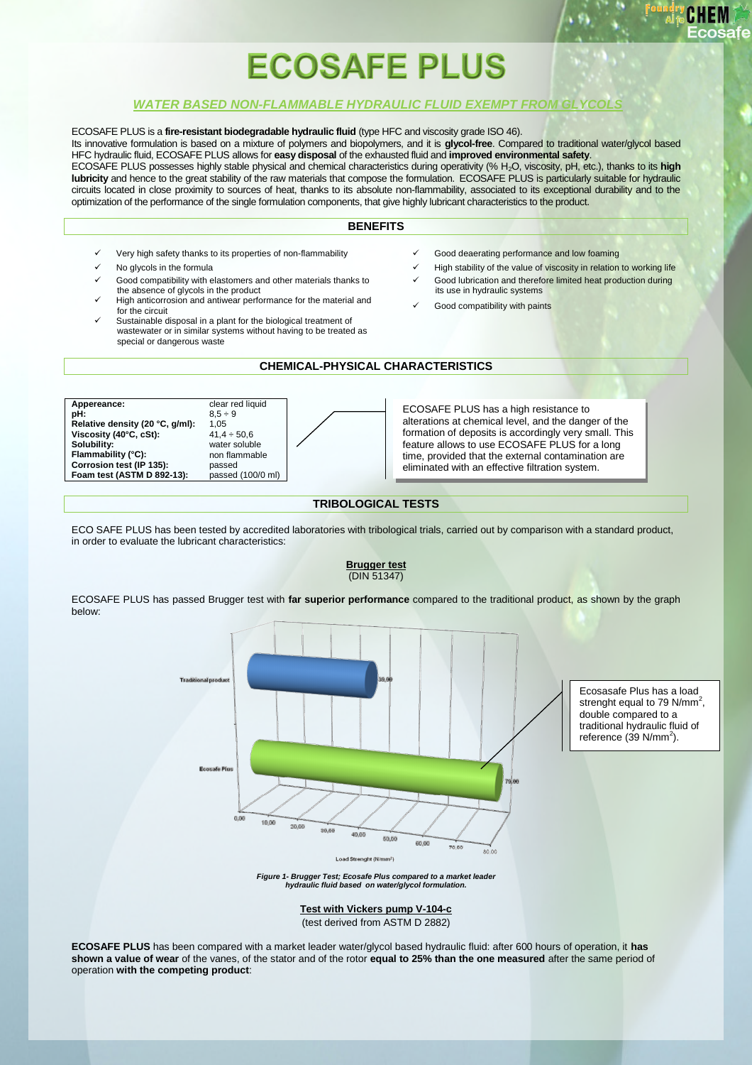# **ECOSAFE PLUS**

## *WATER BASED NON-FLAMMABLE HYDRAULIC FLUID EXEMPT FROM GLYCOLS*

ECOSAFE PLUS is a **fire-resistant biodegradable hydraulic fluid** (type HFC and viscosity grade ISO 46). Its innovative formulation is based on a mixture of polymers and biopolymers, and it is **glycol-free**. Compared to traditional water/glycol based HFC hydraulic fluid, ECOSAFE PLUS allows for **easy disposal** of the exhausted fluid and **improved environmental safety**. ECOSAFE PLUS possesses highly stable physical and chemical characteristics during operativity (% H2O, viscosity, pH, etc.), thanks to its **high lubricity** and hence to the great stability of the raw materials that compose the formulation. ECOSAFE PLUS is particularly suitable for hydraulic circuits located in close proximity to sources of heat, thanks to its absolute non-flammability, associated to its exceptional durability and to the optimization of the performance of the single formulation components, that give highly lubricant characteristics to the product.

## **BENEFITS**

- Very high safety thanks to its properties of non-flammability **Source Accommance and low foaming** V Good deaerating performance and low foaming
- 
- Good compatibility with elastomers and other materials thanks to the absence of glycols in the product
- High anticorrosion and antiwear performance for the material and
- Sustainable disposal in a plant for the biological treatment of wastewater or in similar systems without having to be treated as special or dangerous waste
- 
- No glycols in the formula  $\checkmark$  High stability of the value of viscosity in relation to working life Good lubrication and therefore limited heat production during
	- its use in hydraulic systems Good compatibility with paints

# **CHEMICAL-PHYSICAL CHARACTERISTICS**

**Appereance:** clear red liquid<br> **pH:**  $8.5 \div 9$ **Relative density (20 °C, g/ml):** 1,05<br>Viscosity (40°C, cSt): 41,4 ÷ 50,6 **Viscosity (40°C, cSt):**<br>Solubility: **Flammability (°C): Corrosion test (IP 135):** passed<br>**Foam test (ASTM D 892-13):** passed (100/0 ml) **Foam test (ASTM D 892-13)** 

below:

 $8.5 \div 9$ water soluble<br>non flammable

ECOSAFE PLUS has a high resistance to alterations at chemical level, and the danger of the formation of deposits is accordingly very small. This feature allows to use ECOSAFE PLUS for a long time, provided that the external contamination are eliminated with an effective filtration system.

## **TRIBOLOGICAL TESTS**

ECO SAFE PLUS has been tested by accredited laboratories with tribological trials, carried out by comparison with a standard product, in order to evaluate the lubricant characteristics:

> **Brugger test** (DIN 51347)



*Figure 1- Brugger Test; Ecosafe Plus compared to a market leader hydraulic fluid based on water/glycol formulation.*

**Test with Vickers pump V-104-c** (test derived from ASTM D 2882)

**ECOSAFE PLUS** has been compared with a market leader water/glycol based hydraulic fluid: after 600 hours of operation, it **has shown a value of wear** of the vanes, of the stator and of the rotor **equal to 25% than the one measured** after the same period of operation **with the competing product**: